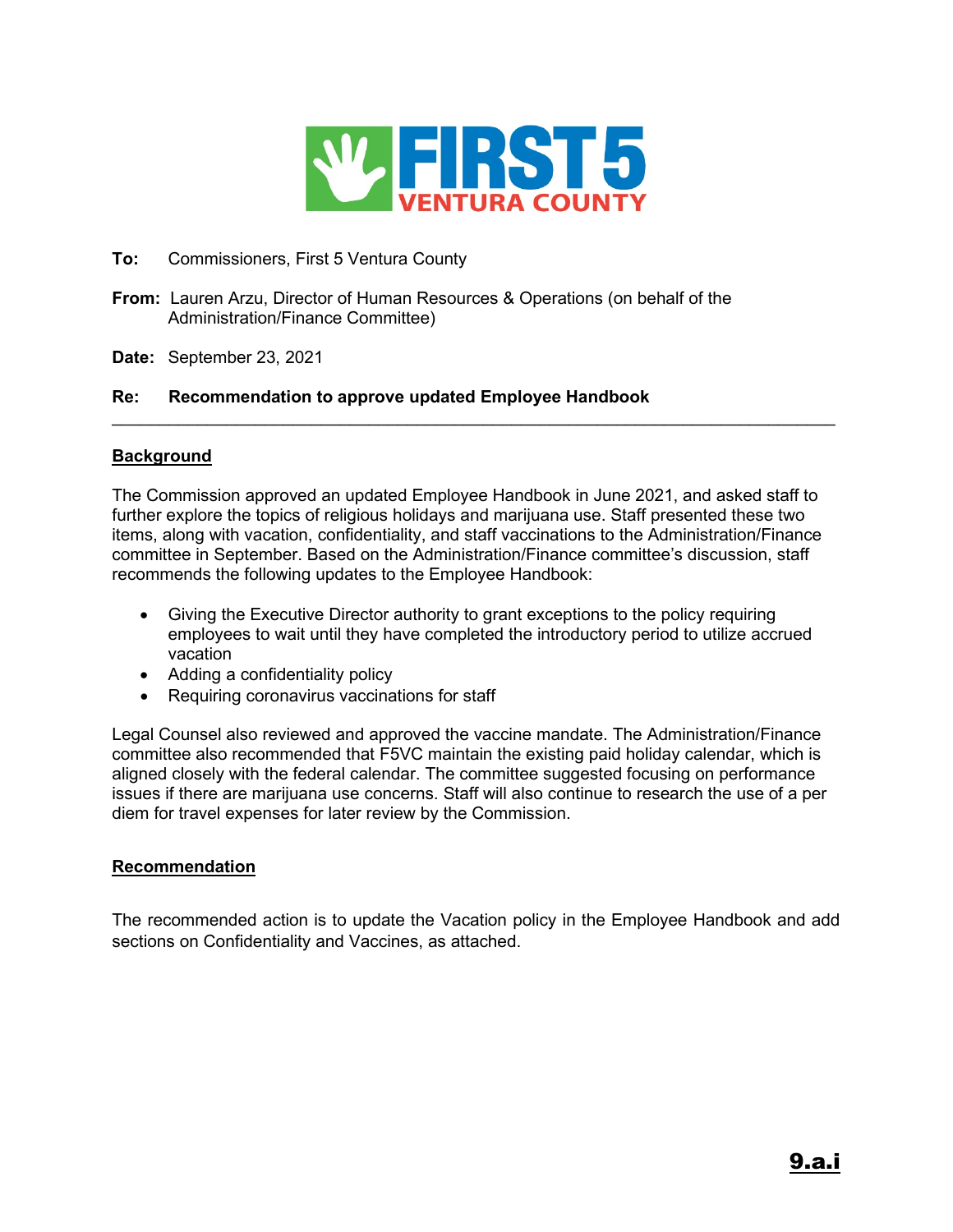

#### **To:** Commissioners, First 5 Ventura County

- **From:** Lauren Arzu, Director of Human Resources & Operations (on behalf of the Administration/Finance Committee)
- **Date:** September 23, 2021

#### **Re: Recommendation to approve updated Employee Handbook**

#### **Background**

The Commission approved an updated Employee Handbook in June 2021, and asked staff to further explore the topics of religious holidays and marijuana use. Staff presented these two items, along with vacation, confidentiality, and staff vaccinations to the Administration/Finance committee in September. Based on the Administration/Finance committee's discussion, staff recommends the following updates to the Employee Handbook:

 $\mathcal{L}_\text{max}$  , and the set of the set of the set of the set of the set of the set of the set of the set of the set of the set of the set of the set of the set of the set of the set of the set of the set of the set of the

- Giving the Executive Director authority to grant exceptions to the policy requiring employees to wait until they have completed the introductory period to utilize accrued vacation
- Adding a confidentiality policy
- Requiring coronavirus vaccinations for staff

Legal Counsel also reviewed and approved the vaccine mandate. The Administration/Finance committee also recommended that F5VC maintain the existing paid holiday calendar, which is aligned closely with the federal calendar. The committee suggested focusing on performance issues if there are marijuana use concerns. Staff will also continue to research the use of a per diem for travel expenses for later review by the Commission.

#### **Recommendation**

The recommended action is to update the Vacation policy in the Employee Handbook and add sections on Confidentiality and Vaccines, as attached.